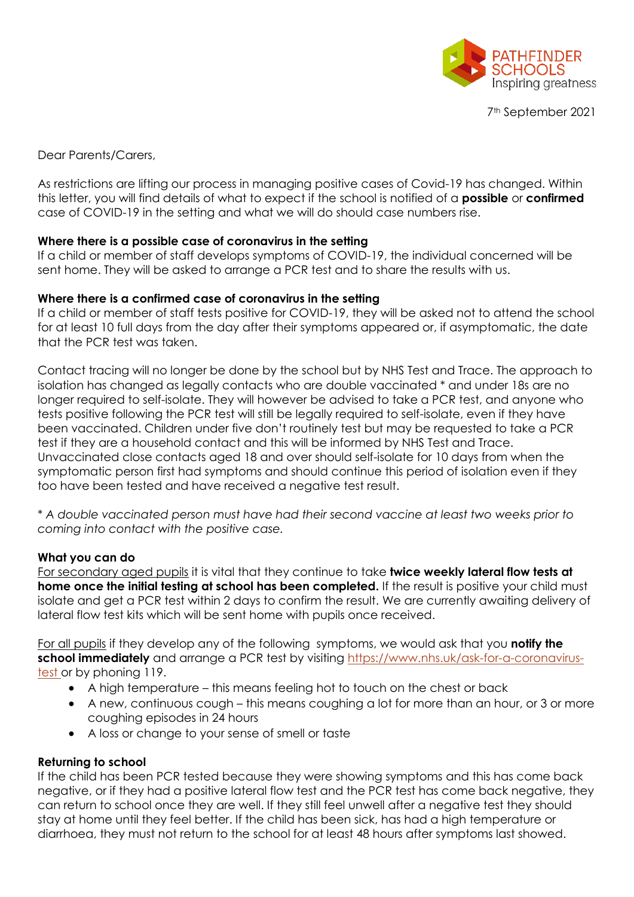

7th September 2021

Dear Parents/Carers,

As restrictions are lifting our process in managing positive cases of Covid-19 has changed. Within this letter, you will find details of what to expect if the school is notified of a **possible** or **confirmed**  case of COVID-19 in the setting and what we will do should case numbers rise.

## **Where there is a possible case of coronavirus in the setting**

If a child or member of staff develops symptoms of COVID-19, the individual concerned will be sent home. They will be asked to arrange a PCR test and to share the results with us.

## **Where there is a confirmed case of coronavirus in the setting**

If a child or member of staff tests positive for COVID-19, they will be asked not to attend the school for at least 10 full days from the day after their symptoms appeared or, if asymptomatic, the date that the PCR test was taken.

Contact tracing will no longer be done by the school but by NHS Test and Trace. The approach to isolation has changed as legally contacts who are double vaccinated \* and under 18s are no longer required to self-isolate. They will however be advised to take a PCR test, and anyone who tests positive following the PCR test will still be legally required to self-isolate, even if they have been vaccinated. Children under five don't routinely test but may be requested to take a PCR test if they are a household contact and this will be informed by NHS Test and Trace. Unvaccinated close contacts aged 18 and over should self-isolate for 10 days from when the symptomatic person first had symptoms and should continue this period of isolation even if they too have been tested and have received a negative test result.

\* *A double vaccinated person must have had their second vaccine at least two weeks prior to coming into contact with the positive case.* 

#### **What you can do**

For secondary aged pupils it is vital that they continue to take **twice weekly lateral flow tests at home once the initial testing at school has been completed.** If the result is positive your child must isolate and get a PCR test within 2 days to confirm the result. We are currently awaiting delivery of lateral flow test kits which will be sent home with pupils once received.

For all pupils if they develop any of the following symptoms, we would ask that you **notify the school immediately** and arrange a PCR test by visiting [https://www.nhs.uk/ask-for-a-coronavirus](https://www.nhs.uk/conditions/coronavirus-covid-19/testing-and-tracing/get-a-test-to-check-if-you-have-coronavirus/)[test o](https://www.nhs.uk/conditions/coronavirus-covid-19/testing-and-tracing/get-a-test-to-check-if-you-have-coronavirus/)r by phoning 119.

- A high temperature this means feeling hot to touch on the chest or back
- A new, continuous cough this means coughing a lot for more than an hour, or 3 or more coughing episodes in 24 hours
- A loss or change to your sense of smell or taste

# **Returning to school**

If the child has been PCR tested because they were showing symptoms and this has come back negative, or if they had a positive lateral flow test and the PCR test has come back negative, they can return to school once they are well. If they still feel unwell after a negative test they should stay at home until they feel better. If the child has been sick, has had a high temperature or diarrhoea, they must not return to the school for at least 48 hours after symptoms last showed.